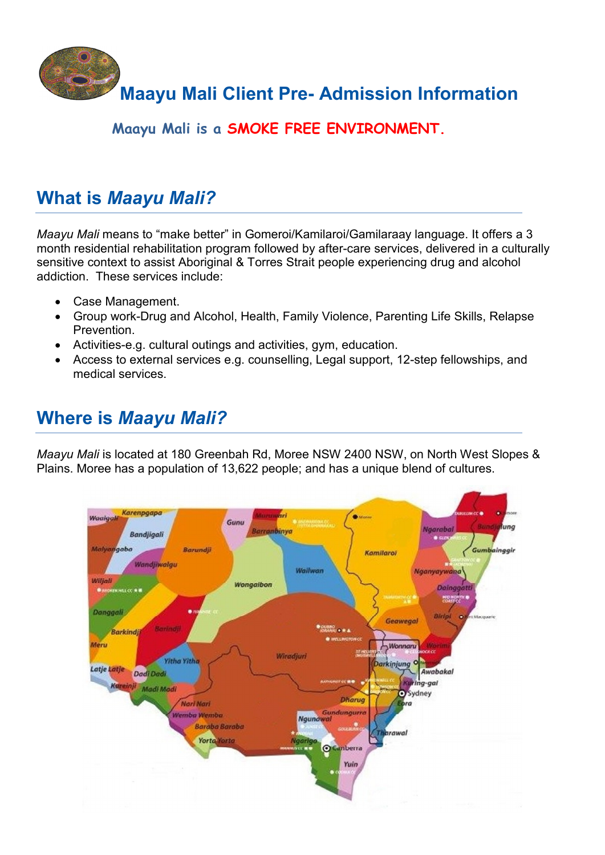

### **Maayu Mali is a SMOKE FREE ENVIRONMENT.**

# **What is** *Maayu Mali?*

*Maayu Mali* means to "make better" in Gomeroi/Kamilaroi/Gamilaraay language. It offers a 3 month residential rehabilitation program followed by after-care services, delivered in a culturally sensitive context to assist Aboriginal & Torres Strait people experiencing drug and alcohol addiction. These services include:

- Case Management.
- Group work-Drug and Alcohol, Health, Family Violence, Parenting Life Skills, Relapse Prevention.
- Activities-e.g. cultural outings and activities, gym, education.
- Access to external services e.g. counselling, Legal support, 12-step fellowships, and medical services.

# **Where is** *Maayu Mali?*

*Maayu Mali* is located at 180 Greenbah Rd, Moree NSW 2400 NSW, on North West Slopes & Plains. Moree has a population of 13,622 people; and has a unique blend of cultures.

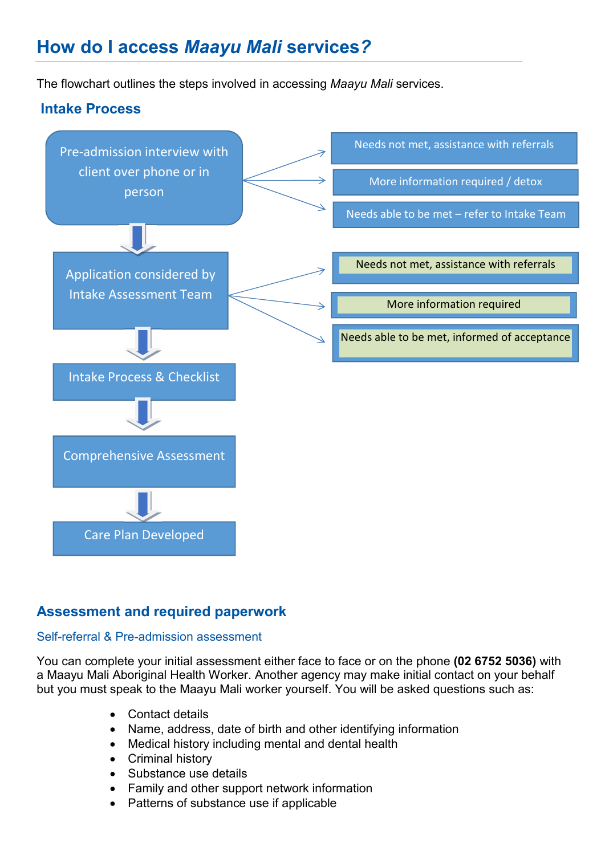# **How do I access** *Maayu Mali* **services***?*

The flowchart outlines the steps involved in accessing *Maayu Mali* services.



### **Assessment and required paperwork**

### Self-referral & Pre-admission assessment

You can complete your initial assessment either face to face or on the phone **(02 6752 5036)** with a Maayu Mali Aboriginal Health Worker. Another agency may make initial contact on your behalf but you must speak to the Maayu Mali worker yourself. You will be asked questions such as:

- Contact details
- Name, address, date of birth and other identifying information
- Medical history including mental and dental health
- Criminal history
- Substance use details
- Family and other support network information
- Patterns of substance use if applicable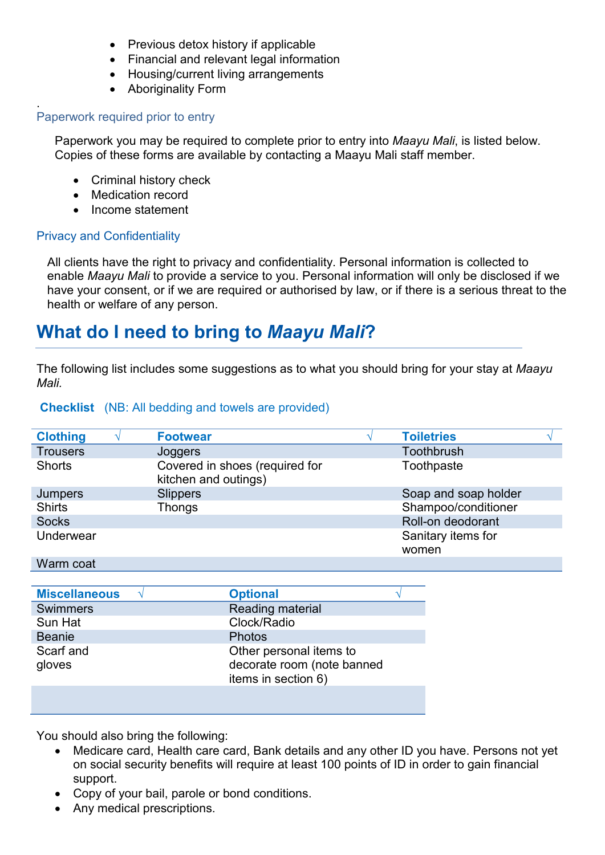- Previous detox history if applicable
- Financial and relevant legal information
- Housing/current living arrangements
- Aboriginality Form

#### . Paperwork required prior to entry

Paperwork you may be required to complete prior to entry into *Maayu Mali*, is listed below. Copies of these forms are available by contacting a Maayu Mali staff member.

- Criminal history check
- Medication record
- Income statement

### Privacy and Confidentiality

All clients have the right to privacy and confidentiality. Personal information is collected to enable *Maayu Mali* to provide a service to you. Personal information will only be disclosed if we have your consent, or if we are required or authorised by law, or if there is a serious threat to the health or welfare of any person.

### **What do I need to bring to** *Maayu Mali***?**

The following list includes some suggestions as to what you should bring for your stay at *Maayu Mali.* 

#### **Checklist** (NB: All bedding and towels are provided)

| <b>Clothing</b> | <b>Footwear</b>                                        | <b>Toiletries</b>    |  |
|-----------------|--------------------------------------------------------|----------------------|--|
| <b>Trousers</b> | Joggers                                                | Toothbrush           |  |
| <b>Shorts</b>   | Covered in shoes (required for<br>kitchen and outings) | Toothpaste           |  |
| Jumpers         | <b>Slippers</b>                                        | Soap and soap holder |  |
| <b>Shirts</b>   | <b>Thongs</b>                                          | Shampoo/conditioner  |  |
| <b>Socks</b>    |                                                        | Roll-on deodorant    |  |
| Underwear       |                                                        | Sanitary items for   |  |
|                 |                                                        | women                |  |

#### Warm coat

| <b>Miscellaneous</b> | <b>Optional</b>            |
|----------------------|----------------------------|
| <b>Swimmers</b>      | Reading material           |
| Sun Hat              | Clock/Radio                |
| <b>Beanie</b>        | <b>Photos</b>              |
| Scarf and            | Other personal items to    |
| gloves               | decorate room (note banned |
|                      | items in section 6)        |
|                      |                            |

You should also bring the following:

- Medicare card, Health care card, Bank details and any other ID you have. Persons not yet on social security benefits will require at least 100 points of ID in order to gain financial support.
- Copy of your bail, parole or bond conditions.
- Any medical prescriptions.